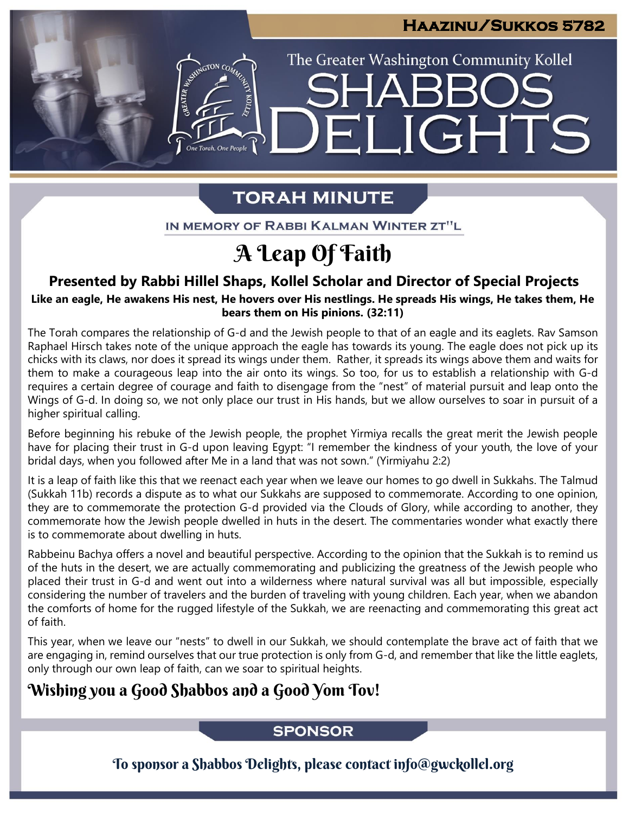IGHTS

The Greater Washington Community Kollel

# **TORAH MINUTE**

FI

IN MEMORY OF RABBI KALMAN WINTER ZT"L

# A Leap Of Faith

## **Presented by Rabbi Hillel Shaps, Kollel Scholar and Director of Special Projects**

Like an eagle, He awakens His nest, He hovers over His nestlings. He spreads His wings, He takes them, He **bears them on His pinions. (32:11)**

The Torah compares the relationship of G-d and the Jewish people to that of an eagle and its eaglets. Rav Samson Raphael Hirsch takes note of the unique approach the eagle has towards its young. The eagle does not pick up its chicks with its claws, nor does it spread its wings under them. Rather, it spreads its wings above them and waits for them to make a courageous leap into the air onto its wings. So too, for us to establish a relationship with G-d requires a certain degree of courage and faith to disengage from the "nest" of material pursuit and leap onto the Wings of G-d. In doing so, we not only place our trust in His hands, but we allow ourselves to soar in pursuit of a higher spiritual calling.

Before beginning his rebuke of the Jewish people, the prophet Yirmiya recalls the great merit the Jewish people have for placing their trust in G-d upon leaving Egypt: "I remember the kindness of your youth, the love of your bridal days, when you followed after Me in a land that was not sown." (Yirmiyahu 2:2)

It is a leap of faith like this that we reenact each year when we leave our homes to go dwell in Sukkahs. The Talmud (Sukkah 11b) records a dispute as to what our Sukkahs are supposed to commemorate. According to one opinion, they are to commemorate the protection G-d provided via the Clouds of Glory, while according to another, they commemorate how the Jewish people dwelled in huts in the desert. The commentaries wonder what exactly there is to commemorate about dwelling in huts.

Rabbeinu Bachya offers a novel and beautiful perspective. According to the opinion that the Sukkah is to remind us of the huts in the desert, we are actually commemorating and publicizing the greatness of the Jewish people who placed their trust in G-d and went out into a wilderness where natural survival was all but impossible, especially considering the number of travelers and the burden of traveling with young children. Each year, when we abandon the comforts of home for the rugged lifestyle of the Sukkah, we are reenacting and commemorating this great act of faith.

This year, when we leave our "nests" to dwell in our Sukkah, we should contemplate the brave act of faith that we are engaging in, remind ourselves that our true protection is only from G-d, and remember that like the little eaglets, only through our own leap of faith, can we soar to spiritual heights.

## Wishing you a Good Shabbos and a Good Yom Tov!

ASSIMIGTON CO

### **SPONSOR**

To sponsor a Shabbos Delights, please contact info@gwckollel.org